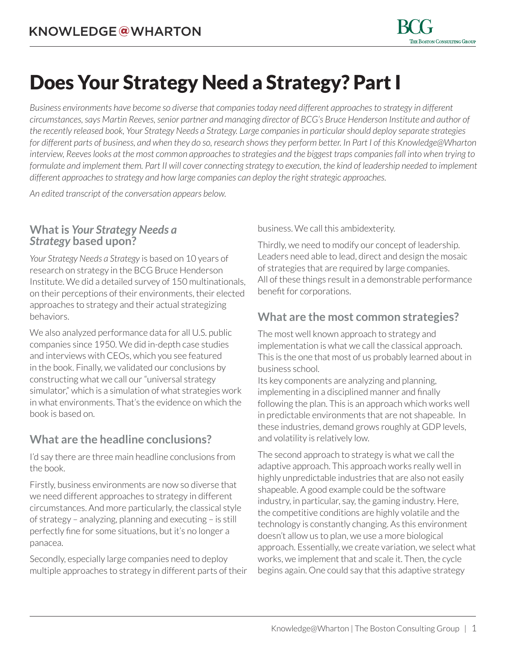# Does Your Strategy Need a Strategy? Part I

*Business environments have become so diverse that companies today need different approaches to strategy in different circumstances, says Martin Reeves, senior partner and managing director of BCG's Bruce Henderson Institute and author of the recently released book, [Your Strategy Needs a Strategy](http://www.amazon.com/Your-Strategy-Needs-Execute-Approach/dp/1625275862). Large companies in particular should deploy separate strategies for different parts of business, and when they do so, research shows they perform better. In Part I of this Knowledge@Wharton interview, Reeves looks at the most common approaches to strategies and the biggest traps companies fall into when trying to formulate and implement them. Part II will cover connecting strategy to execution, the kind of leadership needed to implement different approaches to strategy and how large companies can deploy the right strategic approaches.*

*An edited transcript of the conversation appears below.*

#### **What is** *Your Strategy Needs a Strategy* **based upon?**

*Your Strategy Needs a Strategy* is based on 10 years of research on strategy in the BCG Bruce Henderson Institute. We did a detailed survey of 150 multinationals, on their perceptions of their environments, their elected approaches to strategy and their actual strategizing behaviors.

We also analyzed performance data for all U.S. public companies since 1950. We did in-depth case studies and interviews with CEOs, which you see featured in the book. Finally, we validated our conclusions by constructing what we call our "universal strategy simulator," which is a simulation of what strategies work in what environments. That's the evidence on which the book is based on.

## **What are the headline conclusions?**

I'd say there are three main headline conclusions from the book.

Firstly, business environments are now so diverse that we need different approaches to strategy in different circumstances. And more particularly, the classical style of strategy – analyzing, planning and executing – is still perfectly fine for some situations, but it's no longer a panacea.

Secondly, especially large companies need to deploy multiple approaches to strategy in different parts of their business. We call this ambidexterity.

Thirdly, we need to modify our concept of leadership. Leaders need able to lead, direct and design the mosaic of strategies that are required by large companies. All of these things result in a demonstrable performance benefit for corporations.

## **What are the most common strategies?**

The most well known approach to strategy and implementation is what we call the classical approach. This is the one that most of us probably learned about in business school.

Its key components are analyzing and planning, implementing in a disciplined manner and finally following the plan. This is an approach which works well in predictable environments that are not shapeable. In these industries, demand grows roughly at GDP levels, and volatility is relatively low.

The second approach to strategy is what we call the adaptive approach. This approach works really well in highly unpredictable industries that are also not easily shapeable. A good example could be the software industry, in particular, say, the gaming industry. Here, the competitive conditions are highly volatile and the technology is constantly changing. As this environment doesn't allow us to plan, we use a more biological approach. Essentially, we create variation, we select what works, we implement that and scale it. Then, the cycle begins again. One could say that this adaptive strategy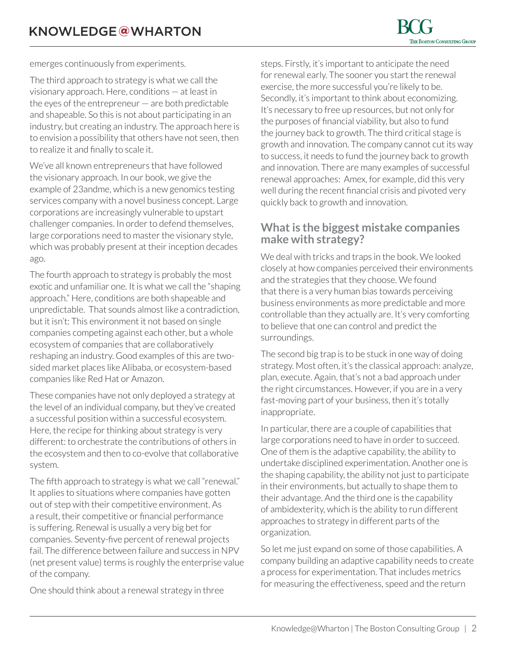emerges continuously from experiments.

The third approach to strategy is what we call the visionary approach. Here, conditions — at least in the eyes of the entrepreneur  $-$  are both predictable and shapeable. So this is not about participating in an industry, but creating an industry. The approach here is to envision a possibility that others have not seen, then to realize it and finally to scale it.

We've all known entrepreneurs that have followed the visionary approach. In our book, we give the example of 23andme, which is a new genomics testing services company with a novel business concept. Large corporations are increasingly vulnerable to upstart challenger companies. In order to defend themselves, large corporations need to master the visionary style, which was probably present at their inception decades ago.

The fourth approach to strategy is probably the most exotic and unfamiliar one. It is what we call the "shaping approach." Here, conditions are both shapeable and unpredictable. That sounds almost like a contradiction, but it isn't: This environment it not based on single companies competing against each other, but a whole ecosystem of companies that are collaboratively reshaping an industry. Good examples of this are twosided market places like Alibaba, or ecosystem-based companies like Red Hat or Amazon.

These companies have not only deployed a strategy at the level of an individual company, but they've created a successful position within a successful ecosystem. Here, the recipe for thinking about strategy is very different: to orchestrate the contributions of others in the ecosystem and then to co-evolve that collaborative system.

The fifth approach to strategy is what we call "renewal." It applies to situations where companies have gotten out of step with their competitive environment. As a result, their competitive or financial performance is suffering. Renewal is usually a very big bet for companies. Seventy-five percent of renewal projects fail. The difference between failure and success in NPV (net present value) terms is roughly the enterprise value of the company.

One should think about a renewal strategy in three

steps. Firstly, it's important to anticipate the need for renewal early. The sooner you start the renewal exercise, the more successful you're likely to be. Secondly, it's important to think about economizing. It's necessary to free up resources, but not only for the purposes of financial viability, but also to fund the journey back to growth. The third critical stage is growth and innovation. The company cannot cut its way to success, it needs to fund the journey back to growth and innovation. There are many examples of successful renewal approaches: Amex, for example, did this very well during the recent financial crisis and pivoted very quickly back to growth and innovation.

#### **What is the biggest mistake companies make with strategy?**

We deal with tricks and traps in the book. We looked closely at how companies perceived their environments and the strategies that they choose. We found that there is a very human bias towards perceiving business environments as more predictable and more controllable than they actually are. It's very comforting to believe that one can control and predict the surroundings.

The second big trap is to be stuck in one way of doing strategy. Most often, it's the classical approach: analyze, plan, execute. Again, that's not a bad approach under the right circumstances. However, if you are in a very fast-moving part of your business, then it's totally inappropriate.

In particular, there are a couple of capabilities that large corporations need to have in order to succeed. One of them is the adaptive capability, the ability to undertake disciplined experimentation. Another one is the shaping capability, the ability not just to participate in their environments, but actually to shape them to their advantage. And the third one is the capability of ambidexterity, which is the ability to run different approaches to strategy in different parts of the organization.

So let me just expand on some of those capabilities. A company building an adaptive capability needs to create a process for experimentation. That includes metrics for measuring the effectiveness, speed and the return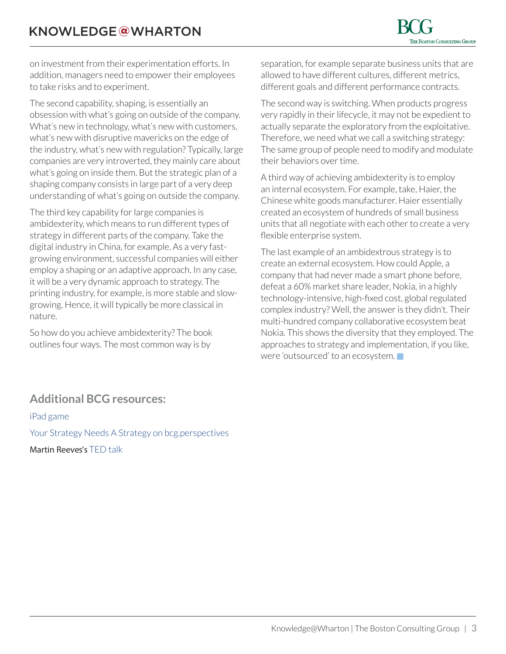on investment from their experimentation efforts. In addition, managers need to empower their employees to take risks and to experiment.

The second capability, shaping, is essentially an obsession with what's going on outside of the company. What's new in technology, what's new with customers, what's new with disruptive mavericks on the edge of the industry, what's new with regulation? Typically, large companies are very introverted, they mainly care about what's going on inside them. But the strategic plan of a shaping company consists in large part of a very deep understanding of what's going on outside the company.

The third key capability for large companies is ambidexterity, which means to run different types of strategy in different parts of the company. Take the digital industry in China, for example. As a very fastgrowing environment, successful companies will either employ a shaping or an adaptive approach. In any case, it will be a very dynamic approach to strategy. The printing industry, for example, is more stable and slowgrowing. Hence, it will typically be more classical in nature.

So how do you achieve ambidexterity? The book outlines four ways. The most common way is by

separation, for example separate business units that are allowed to have different cultures, different metrics, different goals and different performance contracts.

The second way is switching. When products progress very rapidly in their lifecycle, it may not be expedient to actually separate the exploratory from the exploitative. Therefore, we need what we call a switching strategy: The same group of people need to modify and modulate their behaviors over time.

A third way of achieving ambidexterity is to employ an internal ecosystem. For example, take, Haier, the Chinese white goods manufacturer. Haier essentially created an ecosystem of hundreds of small business units that all negotiate with each other to create a very flexible enterprise system.

The last example of an ambidextrous strategy is to create an external ecosystem. How could Apple, a company that had never made a smart phone before, defeat a 60% market share leader, Nokia, in a highly technology-intensive, high-fixed cost, global regulated complex industry? Well, the answer is they didn't. Their multi-hundred company collaborative ecosystem beat Nokia. This shows the diversity that they employed. The approaches to strategy and implementation, if you like, were 'outsourced' to an ecosystem.  $\blacksquare$ 

### **Additional BCG resources:**

[iPad game](https://itunes.apple.com/us/app/your-strategy-needs-strategy/id951248714?mt=8) [Your Strategy Needs A Strategy on bcg.perspectives](https://www.bcgperspectives.com/yourstrategyneedsastrategy) Martin Reeves's [TED talk](https://www.youtube.com/watch?v=YE_ETgaFVo8)